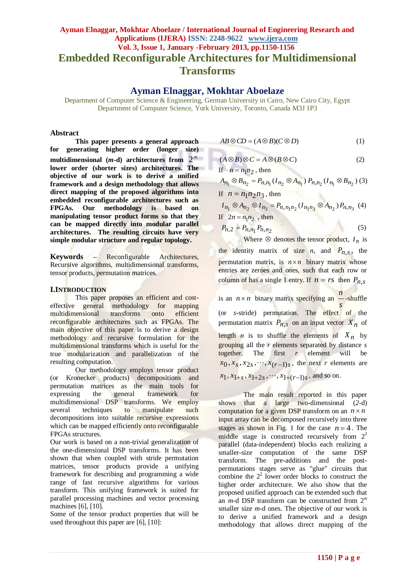# **Ayman Elnaggar, Mokhtar Aboelaze / International Journal of Engineering Research and Applications (IJERA) ISSN: 2248-9622 www.ijera.com Vol. 3, Issue 1, January -February 2013, pp.1150-1156 Embedded Reconfigurable Architectures for Multidimensional Transforms**

# **Ayman Elnaggar, Mokhtar Aboelaze**

Department of Computer Science & Engineering, German University in Cairo, New Cairo City, Egypt Department of Computer Science, York University, Toronto, Canada M3J 1P3

#### **Abstract**

**This paper presents a general approach for generating higher order (longer size)**  multidimensional  $(m-d)$  architectures from  $2^m$ **lower order (shorter sizes) architectures. The objective of our work is to derive a unified framework and a design methodology that allows direct mapping of the proposed algorithms into embedded reconfigurable architectures such as FPGAs. Our methodology is based on manipulating tensor product forms so that they can be mapped directly into modular parallel architectures. The resulting circuits have very simple modular structure and regular topology.**

**Keywords –** Reconfigurable Architectures, Recursive algorithms, multidimensional transforms, tensor products, permutation matrices.

#### **I.INTRODUCTION**

This paper proposes an efficient and costeffective general methodology for mapping multidimensional transforms onto efficient reconfigurable architectures such as FPGAs. The main objective of this paper is to derive a design methodology and recursive formulation for the multidimensional transforms which is useful for the true modularization and parallelization of the resulting computation.

Our methodology employs tensor product (or Kronecker products) decompositions and permutation matrices as the main tools for expressing the general framework for multidimensional DSP transforms. We employ several techniques to manipulate such decompositions into suitable recursive expressions which can be mapped efficiently onto reconfigurable FPGAs structures.

Our work is based on a non-trivial generalization of the one-dimensional DSP transforms. It has been shown that when coupled with stride permutation matrices, tensor products provide a unifying framework for describing and programming a wide range of fast recursive algorithms for various transform. This unifying framework is suited for parallel processing machines and vector processing machines [6], [10].

Some of the tensor product properties that will be used throughout this paper are [6], [10]:

$$
AB \otimes CD = (A \otimes B)(C \otimes D) \tag{1}
$$

$$
(A \otimes B) \otimes C = A \otimes (B \otimes C) \tag{2}
$$

If 
$$
n = n_1 n_2
$$
, then  
\n
$$
A_{n_1} \otimes B_{n_2} = P_{n,n_1} (I_{n_2} \otimes A_{n_1}) P_{n,n_2} (I_{n_1} \otimes B_{n_2})
$$
 (3)

If 
$$
n = n_1 n_2 n_3
$$
, then

$$
I_{n_1} \otimes A_{n_2} \otimes I_{n_3} = P_{n, n_1 n_2} (I_{n_1 n_3} \otimes A_{n_2}) P_{n, n_3}
$$
 (4)  
If  $2n = n_1 n_2$ , then

$$
P_{n,2} = P_{n,n_1} P_{n,n_2} \tag{5}
$$

Where  $\otimes$  denotes the tensor product,  $I_n$  is the identity matrix of size *n*, and  $P_{n,s}$ , the permutation matrix, is  $n \times n$  binary matrix whose entries are zeroes and ones, such that each row or column of has a single 1 entry. If  $n = rs$  then  $P_{n,s}$ 

is an  $n \times n$  binary matrix specifying an *s n* -shuffle (or *s*-stride) permutation. The effect of the permutation matrix  $P_{n,s}$  on an input vector  $X_n$  of length *n* is to shuffle the elements of  $X_n$  by grouping all the *r* elements separated by distance *s* together. The first *r* element will be  $x_0, x_s, x_{2s}, \dots, x_{(r-1)s}$ , the next *r* elements are  $x_1, x_{1+s}, x_{1+2s}, \dots, x_{1+(r-1)s}$ , and so on.

The main result reported in this paper shows that a large two-dimensional (*2*-d) computation for a given DSP transform on an  $n \times n$ input array can be decomposed recursively into three stages as shown in Fig. 1 for the case  $n = 4$ . The middle stage is constructed recursively from  $2<sup>2</sup>$ parallel (data-independent) blocks each realizing a smaller-size computation of the same DSP transform. The pre-additions and the postpermutations stages serve as "glue" circuits that combine the  $2<sup>2</sup>$  lower order blocks to construct the higher order architecture. We also show that the proposed unified approach can be extended such that an *m-*d DSP transform can be constructed from 2 *m* smaller size *m-*d ones. The objective of our work is to derive a unified framework and a design methodology that allows direct mapping of the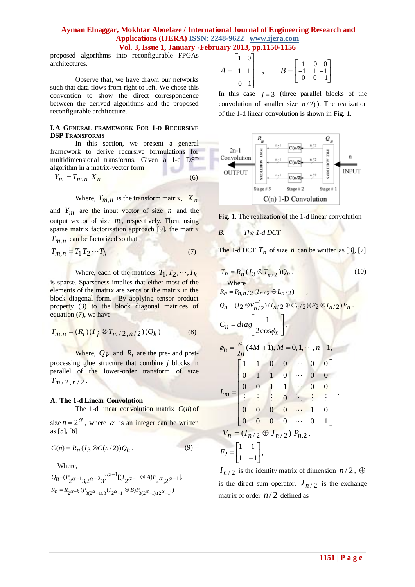proposed algorithms into reconfigurable FPGAs architectures.

Observe that, we have drawn our networks such that data flows from right to left. We chose this convention to show the direct correspondence between the derived algorithms and the proposed reconfigurable architecture.

#### **I.A GENERAL FRAMEWORK FOR 1-D RECURSIVE DSP TRANSFORMS**

In this section, we present a general framework to derive recursive formulations for multidimensional transforms. Given a 1-d DSP algorithm in a matrix-vector form

$$
Y_m = T_{m,n} \ X_n \tag{6}
$$

Where,  $T_{m,n}$  is the transform matrix,  $X_n$ 

and  $Y_m$  are the input vector of size  $n$  and the output vector of size  $m$ , respectively. Then, using sparse matrix factorization approach [9], the matrix *Tm*,*n* can be factorized so that

$$
T_{m,n} = T_1 T_2 \cdots T_k \tag{7}
$$

Where, each of the matrices  $T_1, T_2, \dots, T_k$ is sparse. Sparseness implies that either most of the elements of the matrix are zeros or the matrix in the block diagonal form. By applying tensor product property (3) to the block diagonal matrices of equation (7), we have

$$
T_{m,n} = (R_i)(I_j \otimes T_{m/2,n/2})(Q_k)
$$
 (8)

Where,  $Q_k$  and  $R_i$  are the pre- and postprocessing glue structure that combine *j* blocks in parallel of the lower-order transform of size  $T_{m/2,n/2}$ .

#### **A. The 1-d Linear Convolution**

The 1-d linear convolution matrix  $C(n)$  of

size  $n = 2^{\alpha}$ , where  $\alpha$  is an integer can be written as [5], [6]

$$
C(n) = R_n(I_3 \otimes C(n/2))Q_n.
$$
 (9)

Where,

$$
\begin{array}{l} \displaystyle Q_n \!\!=\!\! (P_2 \alpha -\! 1_{3,2} \alpha -\! 2_3)^{\alpha -1} [(I_2 \alpha -\! 1 \otimes A) P_2 \alpha_{,2} \alpha -\! 1].\\ \displaystyle R_n \!=\! R_2 \alpha -\! k \; (P_{3(2^\alpha-1),3} (I_2 \alpha_{-1} \otimes B) P_{3(2^\alpha-1), (2^\alpha-1)}) \end{array}
$$

$$
A = \begin{bmatrix} 1 & 0 \\ 1 & 1 \\ 0 & 1 \end{bmatrix} , \qquad B = \begin{bmatrix} 1 & 0 & 0 \\ -1 & 1 & -1 \\ 0 & 0 & 1 \end{bmatrix}
$$

In this case  $j = 3$  (three parallel blocks of the convolution of smaller size  $n/2$ ). The realization of the 1-d linear convolution is shown in Fig. 1.



Fig. 1. The realization of the 1-d linear convolution

*B. The 1-d DCT*

The 1-d DCT  $T_n$  of size  $n$  can be written as [3], [7]

$$
T_n = R_n (I_3 \otimes T_{n/2}) Q_n.
$$
  
\nWhere  
\n
$$
R_n = P_{n,n/2} (I_{n/2} \oplus L_{n/2}) ,
$$
  
\n
$$
Q_n = (I_2 \otimes V_{n/2}^{-1}) (I_{n/2} \oplus C_{n/2}) (F_2 \otimes I_{n/2}) V_n.
$$
  
\n
$$
C_n = diag \left[ \frac{1}{2 \cos \phi_n} \right],
$$
  
\n
$$
\phi_n = \frac{\pi}{2n} (4M + 1), M = 0, 1, ..., n - 1,
$$
  
\n
$$
L_m = \begin{bmatrix} 1 & 1 & 0 & 0 & \cdots & 0 & 0 \\ 0 & 1 & 1 & 0 & \cdots & 0 & 0 \\ 0 & 0 & 1 & 1 & \cdots & 0 & 0 \\ \vdots & \vdots & \vdots & \vdots & \ddots & \vdots & \vdots \\ 0 & 0 & 0 & 0 & \cdots & 1 & 0 \\ 0 & 0 & 0 & 0 & \cdots & 1 & 0 \\ 0 & 0 & 0 & 0 & \cdots & 0 & 1 \end{bmatrix},
$$
  
\n
$$
V_n = (I_{n/2} \oplus J_{n/2}) P_{n,2},
$$
  
\n
$$
F_2 = \begin{bmatrix} 1 & 1 \\ 1 & -1 \end{bmatrix},
$$
 (10)

 $I_{n/2}$  is the identity matrix of dimension  $n/2$ ,  $\oplus$ is the direct sum operator,  $J_{n/2}$  is the exchange matrix of order  $n/2$  defined as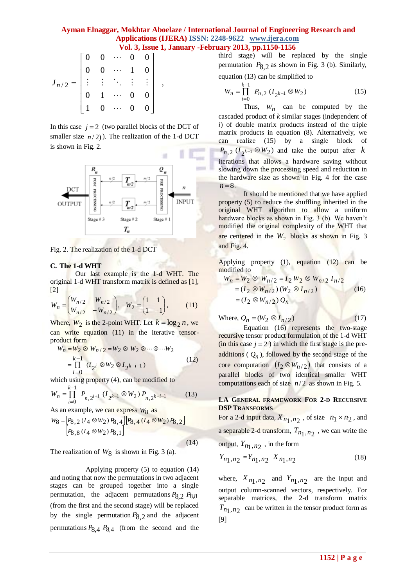$$
J_{n/2} = \begin{bmatrix} 0 & 0 & \cdots & 0 & 0 \\ 0 & 0 & \cdots & 1 & 0 \\ \vdots & \vdots & \ddots & \vdots & \vdots \\ 0 & 1 & \cdots & 0 & 0 \\ 1 & 0 & \cdots & 0 & 0 \end{bmatrix},
$$

In this case  $j = 2$  (two parallel blocks of the DCT of smaller size  $n/2$ ). The realization of the 1-d DCT is shown in Fig. 2.



Fig. 2. The realization of the 1-d DCT

#### **C. The 1-d WHT**

Our last example is the 1-d WHT. The original 1-d WHT transform matrix is defined as [1], [2]

$$
W_n = \begin{pmatrix} W_{n/2} & W_{n/2} \\ W_{n/2} & -W_{n/2} \end{pmatrix}, \quad W_2 = \begin{pmatrix} 1 & 1 \\ 1 & -1 \end{pmatrix}, \tag{11}
$$

Where,  $W_2$  is the 2-point WHT. Let  $k = \log_2 n$ , we can write equation (11) in the iterative tensorproduct form

$$
W_n = W_2 \otimes W_{n/2} = W_2 \otimes W_2 \otimes \cdots \otimes \cdots W_2
$$
  
= 
$$
\prod_{i=0}^{k-1} (I_{2^i} \otimes W_2 \otimes I_{2^{k-i-1}})
$$
 (12)

which using property (4), can be modified to

$$
W_n = \prod_{i=0}^{k-1} P_{n,2^{i+1}} \left( I_{2^{k-1}} \otimes W_2 \right) P_{n,2^{k-i-1}} \tag{13}
$$

As an example, we can express  $W_8$  as

$$
W_8 = \begin{bmatrix} P_{8,2} & (I_4 \otimes W_2) P_{8,4} \end{bmatrix} \begin{bmatrix} P_{8,4} & (I_4 \otimes W_2) P_{8,2} \end{bmatrix}
$$
  
\n
$$
\begin{bmatrix} P_{8,8} & (I_4 \otimes W_2) P_{8,1} \end{bmatrix}
$$
\n(14)

The realization of  $W_8$  is shown in Fig. 3 (a).

 Applying property (5) to equation (14) and noting that now the permutations in two adjacent stages can be grouped together into a single permutation, the adjacent permutations *P*8,2 *P*8,8 (from the first and the second stage) will be replaced by the single permutation  $P_{8,2}$  and the adjacent permutations  $P_{8,4}$   $P_{8,4}$  (from the second and the third stage) will be replaced by the single permutation  $P_{8,2}$  as shown in Fig. 3 (b). Similarly, equation (13) can be simplified to

$$
W_n = \prod_{i=0}^{k-1} P_{n,2} (I_{2^{k-1}} \otimes W_2)
$$
 (15)

Thus,  $W_n$  can be computed by the cascaded product of *k* similar stages (independent of *i*) of double matrix products instead of the triple matrix products in equation (8). Alternatively, we realize  $(15)$  by a single block of  $P_{n,2}$  ( $I_{2^{k-1}} \otimes W_2$ ) and take the output after k iterations that allows a hardware saving without slowing down the processing speed and reduction in the hardware size as shown in Fig. 4 for the case  $n = 8$ .

It should be mentioned that we have applied property (5) to reduce the shuffling inherited in the original WHT algorithm to allow a uniform hardware blocks as shown in Fig. 3 (b). We haven't modified the original complexity of the WHT that are centered in the  $W_2$  blocks as shown in Fig. 3 and Fig. 4.

Applying property (1), equation (12) can be modified to

$$
W_n = W_2 \otimes W_{n/2} = I_2 W_2 \otimes W_{n/2} I_{n/2}
$$
  
=  $(I_2 \otimes W_{n/2}) (W_2 \otimes I_{n/2})$   
=  $(I_2 \otimes W_{n/2}) Q_n$  (16)

Where,  $Q_n = (W_2 \otimes I_{n/2})$  (17)

Equation (16) represents the two-stage recursive tensor product formulation of the 1-d WHT  $(in this case  $j = 2)$  in which the first stage is the pre$ additions ( $Q_n$ ), followed by the second stage of the core computation  $(I_2 \otimes W_{n/2})$  that consists of a parallel blocks of two identical smaller WHT computations each of size  $n/2$  as shown in Fig. 5.

### **I.A GENERAL FRAMEWORK FOR 2-D RECURSIVE DSP TRANSFORMS**

For a 2-d input data,  $X_{n_1,n_2}$ , of size  $n_1 \times n_2$ , and a separable 2-d transform,  $T_{n_1,n_2}$  , we can write the output,  $Y_{n_1,n_2}$ , in the form

$$
Y_{n_1, n_2} = Y_{n_1, n_2} \t X_{n_1, n_2} \t (18)
$$

where,  $X_{n_1,n_2}$  and  $Y_{n_1,n_2}$  are the input and output column-scanned vectors, respectively. For separable matrices, the 2-d transform matrix  $T_{n_1,n_2}$  can be written in the tensor product form as [9]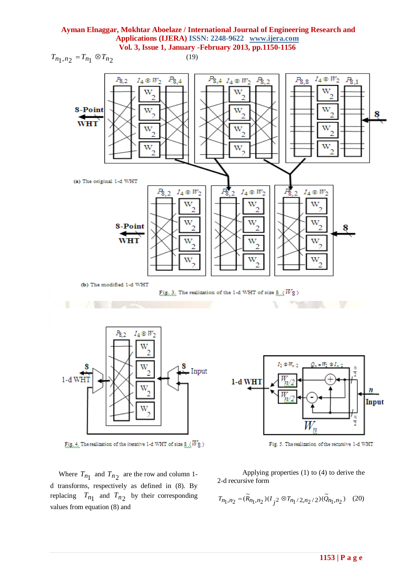



Fig. 4. The realization of the iterative 1-d WHT of size  $8/(W_8)$ 

Where  $T_{n_1}$  and  $T_{n_2}$  are the row and column 1d transforms, respectively as defined in (8). By replacing  $T_{n_1}$  and  $T_{n_2}$  by their corresponding values from equation (8) and



Fig. 5. The realization of the recursive 1-d WHT

Applying properties (1) to (4) to derive the 2-d recursive form

$$
T_{n_1,n_2} = (\widetilde{R}_{n_1,n_2})(I_{j^2} \otimes T_{n_1/2,n_2/2})(\widetilde{Q}_{n_1,n_2}) \quad (20)
$$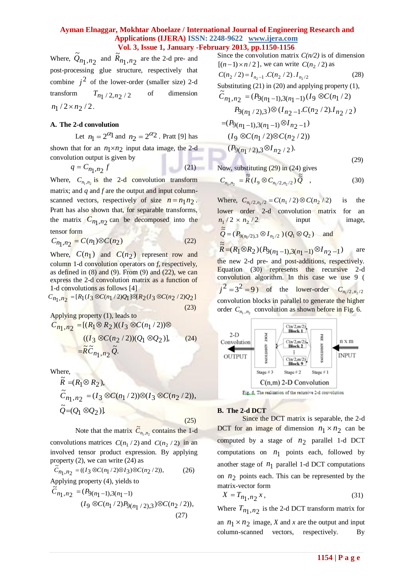Where,  $Q_{n_1,n_2}$  $\tilde{Q}_{n_1,n_2}$  and  $\tilde{R}_{n_1,n_2}$  $\widetilde{R}_{n_1, n_2}$  are the 2-d pre- and post-processing glue structure, respectively that combine  $j^2$  of the lower-order (smaller size) 2-d transform *Tn*1 / 2,*n*2 / 2 of dimension  $n_1$  / 2 ×  $n_2$  / 2.

### **A. The 2-d convolution**

Let  $n_1 = 2^{\alpha_1}$  and  $n_2 = 2^{\alpha_2}$ . Pratt [9] has shown that for an  $n_1 \times n_2$  input data image, the 2-d convolution output is given by

$$
q = C_{n_1, n_2} f \tag{21}
$$

Where,  $C_{n_1,n_2}$  is the 2-d convolution transform matrix; and *q* and *f* are the output and input columnscanned vectors, respectively of size  $n = n_1 n_2$ . Pratt has also shown that, for separable transforms, the matrix  $C_{n_1,n_2}$  can be decomposed into the tensor form

$$
C_{n_1, n_2} = C(n_1) \otimes C(n_2)
$$
 (22)

Where,  $C(n_1)$  and  $C(n_2)$  represent row and column 1-d convolution operators on *f*, respectively, as defined in  $(8)$  and  $(9)$ . From  $(9)$  and  $(22)$ , we can express the 2-d convolution matrix as a function of 1-d convolutions as follows [4]

$$
C_{n_1, n_2} = [R_1(I_3 \otimes C(n_1/2)Q_1] \otimes [R_2(I_3 \otimes C(n_2/2)Q_2)]
$$
\n(23)

Applying property (1), leads to  
\n
$$
C_{n_1, n_2} = [(R_1 \otimes R_2)((I_3 \otimes C(n_1/2)) \otimes ((I_3 \otimes C(n_2/2))(Q_1 \otimes Q_2)],
$$
\n
$$
= \widetilde{R} \widetilde{C}_{n_1, n_2} \widetilde{Q}.
$$
\n(24)

Where,

$$
\widetilde{R} = (R_1 \otimes R_2),
$$
\n
$$
\widetilde{C}_{n_1, n_2} = (I_3 \otimes C(n_1/2)) \otimes (I_3 \otimes C(n_2/2)),
$$
\n
$$
\widetilde{Q} = (Q_1 \otimes Q_2).
$$
\n(25)

Note that the matrix  $\tilde{C}_{n_1,n_2}$  contains the 1-d

convolutions matrices  $C(n_1 / 2)$  and  $C(n_2 / 2)$  in an involved tensor product expression. By applying property (2), we can write (24) as

$$
\dot{C}_{n_1, n_2} = ((I_3 \otimes C(n_1/2) \otimes I_3) \otimes C(n_2/2)), \tag{26}
$$

Applying property (4), yields to  $\tilde{c}$ 

$$
\tilde{C}_{n_1, n_2} = (P_{9(n_1-1), 3(n_1-1)}(I_9 \otimes C(n_1/2)P_{9(n_1/2), 3}) \otimes C(n_2/2)),
$$
\n(27)

Since the convolution matrix  $C(n/2)$  is of dimension  $[(n-1) \times n/2]$ , we can write  $C(n_2 / 2)$  as

$$
C(n_2 / 2) = I_{n_2 - 1} . C(n_2 / 2) . I_{n_2 / 2}
$$
 (28)  
Substituting (21) in (20) and applying property (1),  

$$
\widetilde{C}_{n_1, n_2} = (P_{9(n_1 - 1), 3(n_1 - 1)} (I_9 \otimes C(n_1 / 2))
$$

$$
P_{9(n_1 / 2), 3}) \otimes (I_{n_2 - 1} . C(n_2 / 2) . I_{n_2 / 2})
$$

$$
= (P_{9(n_1 - 1), 3(n_1 - 1)} \otimes I_{n_2 - 1})
$$

$$
(I_9 \otimes C(n_1 / 2) \otimes C(n_2 / 2))
$$

$$
(P_{9(n_1/2),3} \otimes I_{n_2/2}).
$$
\n(29)

Now, substituting (29) in (24) gives

$$
C_{n_1,n_2} = \tilde{\tilde{R}}(I_9 \otimes C_{n_1/2,n_2/2}) \tilde{\tilde{Q}} , \qquad (30)
$$

Where,  $C_{n_1/2, n_2/2} = C(n_1 / 2) \otimes C(n_2 / 2)$ is the lower order 2-d convolution matrix for an  $n_1/2 \times n_2/2$ input image,  $\tilde{\tilde{\alpha}}$  $\widetilde{Q} = (P_{9(n_1/2), 3} \otimes I_{n_2/2}) (Q_1 \otimes Q_2)$  and  $R_1 \otimes R_2 (P_{9(n_1-1)}3(n_1-1) \otimes I_{n_2-1})$  $\tilde{\vec{R}} = (R_1 \otimes R_2)(P_{9(n_1-1)},3(n_1-1) \otimes I_{n_2-1})$ are the new 2-d pre- and post-additions, respectively. Equation (30) represents the recursive 2-d convolution algorithm. In this case we use 9 (  $j^2 = 3^2 = 9$  of the lower-order  $C_{n_1/2, n_2/2}$ convolution blocks in parallel to generate the higher order  $C_{n_1, n_2}$  convolution as shown before in Fig. 6.



### **B. The 2-d DCT**

Since the DCT matrix is separable, the 2-d DCT for an image of dimension  $n_1 \times n_2$  can be computed by a stage of  $n_2$  parallel 1-d DCT computations on  $n_1$  points each, followed by another stage of  $n_1$  parallel 1-d DCT computations on  $n_2$  points each. This can be represented by the matrix-vector form

$$
X = T_{n_1, n_2} x, \tag{31}
$$

Where  $T_{n_1,n_2}$  is the 2-d DCT transform matrix for an  $n_1 \times n_2$  image, *X* and *x* are the output and input column-scanned vectors, respectively. By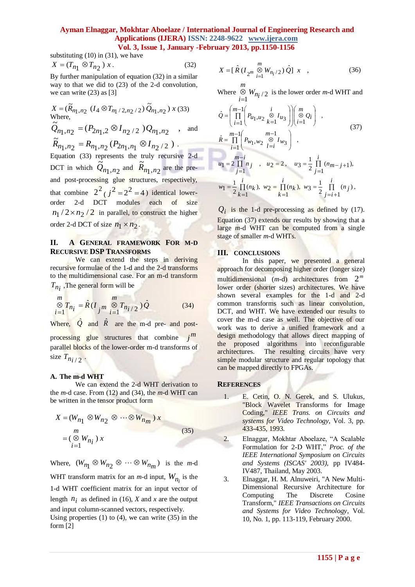substituting  $(10)$  in  $(31)$ , we have

$$
X = (T_{n_1} \otimes T_{n_2}) x. \tag{32}
$$

By further manipulation of equation (32) in a similar way to that we did to (23) of the 2-d convolution, we can write  $(23)$  as [3]

$$
X = (\widetilde{R}_{n_1, n_2} (I_4 \otimes T_{n_1/2, n_2/2}) \widetilde{Q}_{n_1, n_2}) x (33)
$$
  
Where,  

$$
\widetilde{Q}_{n_1, n_2} = (P_{2n_1, 2} \otimes I_{n_2/2}) Q_{n_1, n_2}
$$
, and  

$$
\widetilde{R}_{n_1, n_2} = R_{n_1, n_2} (P_{2n_1, n_1} \otimes I_{n_2/2})
$$
.

Equation (33) represents the truly recursive 2-d DCT in which  $Q_{n_1,n_2}$  and  $R_{n_1,n_2}$  are the preand post-processing glue structures, respectively, that combine  $2^2 (j^2 = 2^2 = 4)$  identical lowerorder 2-d DCT modules each of size  $n_1/2 \times n_2/2$  in parallel, to construct the higher order 2-d DCT of size  $n_1 \times n_2$ .  $\tilde{Q}_{n_1,n_2}$  and  $\tilde{R}_{n_1,n_2}$  $\tilde{R}_{n_1,n}$ 

### **II. A GENERAL FRAMEWORK FOR M-D RECURSIVE DSP TRANSFORMS**

We can extend the steps in deriving recursive formulae of the 1-d and the 2-d transforms to the multidimensional case. For an m-d transform  $T_{n_i}$ , The general form will be

$$
\bigotimes_{i=1}^{m} T_{n_i} = \hat{R}(I_{j}m \bigotimes_{i=1}^{m} T_{n_i/2})\hat{Q}
$$
 (34)

Where,  $\hat{Q}$  and  $\hat{R}$  are the m-d pre- and postprocessing glue structures that combine  $j^m$ parallel blocks of the lower-order m-d transforms of size  $T_{n_i/2}$ .

#### **A. The m-d WHT**

We can extend the 2-d WHT derivation to the *m*-d case. From (12) and (34), the *m*-d WHT can be written in the tensor product form

$$
X = (W_{n_1} \otimes W_{n_2} \otimes \cdots \otimes W_{n_m}) x
$$
  
= 
$$
(\otimes W_{n_i}) x
$$
  
= 
$$
\cdots (35)
$$

Where,  $(W_{n_1} \otimes W_{n_2} \otimes \cdots \otimes W_{n_m})$  is the *m*-d WHT transform matrix for an *m*-d input,  $W_{n_i}$  is the 1-d WHT coefficient matrix for an input vector of length  $n_i$  as defined in (16), *X* and *x* are the output and input column-scanned vectors, respectively.

Using properties  $(1)$  to  $(4)$ , we can write  $(35)$  in the form [2]

$$
X = [\hat{R} (I_{2^m} \overset{m}{\underset{i=1}{\otimes}} W_{n_i/2}) \hat{Q}] x , \qquad (36)
$$

Where  $\bigotimes_{i=1}^{8} W_{n_i/2}$ *i W*  $=$  $\otimes$   $W_{ni/2}$  is the lower order *m*-d WHT and

$$
\hat{Q} = \left(\prod_{i=1}^{m-1} \left(P_{u_1, u_2} \underset{k=1}{\overset{\otimes}{\otimes}} I_{u_3}\right)\right) \left(\prod_{i=1}^{m} Q_i\right) ,
$$
\n
$$
\hat{R} = \prod_{i=1}^{m-1} \left(P_{w_1, w_2} \underset{l=i}{\overset{\otimes}{\otimes}} I_{w_3}\right) ,
$$
\n
$$
u_1 = 2 \prod_{j=1}^{m-i} n_j , u_2 = 2 , u_3 = \frac{1}{2} \prod_{j=1}^{i} (n_{m-j+1}),
$$
\n(37)

$$
w_1 = \frac{1}{2} \prod_{k=1}^{i} (n_k), w_2 = \prod_{k=1}^{i} (n_k), w_3 = \frac{1}{2} \prod_{j=i+1}^{i} (n_j),
$$

 $Q_i$  is the 1-d pre-processing as defined by (17). Equation (37) extends our results by showing that a large *m*-d WHT can be computed from a single stage of smaller *m*-d WHTs.

#### **III. CONCLUSIONS**

In this paper, we presented a general approach for decomposing higher order (longer size) multidimensional  $(m-d)$  architectures from  $2^m$ lower order (shorter sizes) architectures. We have shown several examples for the 1-d and 2-d common transforms such as linear convolution, DCT, and WHT. We have extended our results to cover the m-d case as well. The objective of our work was to derive a unified framework and a design methodology that allows direct mapping of the proposed algorithms into reconfigurable architectures. The resulting circuits have very simple modular structure and regular topology that can be mapped directly to FPGAs.

#### **REFERENCES**

- E. Cetin, O. N. Gerek, and S. Ulukus, "Block Wavelet Transforms for Image Coding," *IEEE Trans. on Circuits and systems for Video Technology,* Vol. 3, pp. 433-435, 1993.
- 2. Elnaggar, Mokhtar Aboelaze, "A Scalable Formulation for 2-D WHT," *Proc. of the IEEE International Symposium on Circuits and Systems (ISCAS' 2003),* pp IV484- IV487, Thailand, May 2003.
- 3. Elnaggar, H. M. Alnuweiri, "A New Multi-Dimensional Recursive Architecture for Computing The Discrete Cosine Transform," *IEEE Transactions on Circuits and Systems for Video Technology*, Vol. 10, No. 1, pp. 113-119, February 2000.